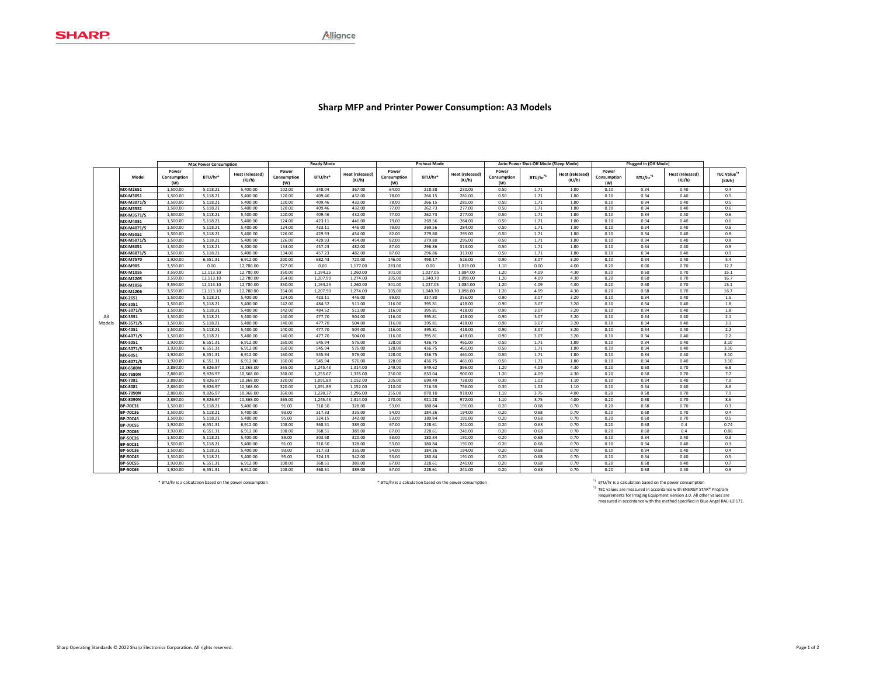## **Sharp MFP and Printer Power Consumption: A3 Models**

|              |                                    |                      | <b>Max Power Consumption</b> |                      | <b>Ready Mode</b>  |                     |                        | <b>Preheat Mode</b> |                  |                  | Auto Power Shut-Off Mode (Sleep Mode) |                     |                 | <b>Plugged In (Off Mode)</b> |                      |                 |                         |
|--------------|------------------------------------|----------------------|------------------------------|----------------------|--------------------|---------------------|------------------------|---------------------|------------------|------------------|---------------------------------------|---------------------|-----------------|------------------------------|----------------------|-----------------|-------------------------|
|              |                                    | Power                |                              | Heat (released)      | Power              |                     | <b>Heat (released)</b> | Power               |                  | Heat (released)  | Power                                 |                     | Heat (released) | Power                        |                      | Heat (released) | TEC Value <sup>*2</sup> |
|              | Model                              | Consumption<br>(W)   | BTU/hr*                      | (KJ/h)               | Consumption<br>(W) | BTU/hr <sup>s</sup> | (KJ/h)                 | Consumption<br>(W)  | BTU/hr*          | (KJ/h)           | Consumption<br>(W)                    | BTU/hr <sup>1</sup> | (KJ/h)          | Consumption<br>(W)           | BTU/hr <sup>*1</sup> | (KJ/h)          | (kWh)                   |
|              | MX-M2651                           | 1,500.00             | 5.118.21                     | 5,400.00             | 102.00             | 348.04              | 367.00                 | 64.00               | 218.38           | 230.00           | 0.50                                  | 1.71                | 1.80            | 0.10                         | 0.34                 | 0.40            | 0.4                     |
|              | MX-M3051                           | 1,500.00             | 5,118.21                     | 5,400.00             | 120.00             | 409.46              | 432.00                 | 78.00               | 266.15           | 281.00           | 0.50                                  | 1.71                | 1.80            | 0.10                         | 0.34                 | 0.40            | 0.5                     |
|              | MX-M3071/S                         | 1,500.00             | 5,118.21                     | 5,400.00             | 120.00             | 409.46              | 432.00                 | 78.00               | 266.15           | 281.00           | 0.50                                  | 1.71                | 1.80            | 0.10                         | 0.34                 | 0.40            | 0.5                     |
|              | MX-M3551                           | 1,500.00             | 5,118.21                     | 5,400.00             | 120.00             | 409.46              | 432.00                 | 77.00               | 262.73           | 277.00           | 0.50                                  | 1.71                | 1.80            | 0.10                         | 0.34                 | 0.40            | 0.6                     |
|              | MX-M3571/S                         | 1,500.00             | 5.118.21                     | 5,400.00             | 120.00             | 409.46              | 432.00                 | 77.00               | 262.73           | 277.00           | 0.50                                  | 1.71                | 1.80            | 0.10                         | 0.34                 | 0.40            | 0.6                     |
|              | MX-M4051                           | 1,500.00             | 5,118.21                     | 5,400.00             | 124.00             | 423.11              | 446.00                 | 79.00               | 269.56           | 284.00           | 0.50                                  | 1.71                | 1.80            | 0.10                         | 0.34                 | 0.40            | 0.6                     |
|              | MX-M4071/S                         | 1.500.00             | 5.118.21                     | 5.400.00             | 124.00             | 423.11              | 446.00                 | 79.00               | 269.56           | 284.00           | 0.50                                  | 1.71                | 1.80            | 0.10                         | 0.34                 | 0.40            | 0.6                     |
|              | MX-M5051                           | 1.500.00             | 5.118.21                     | 5.400.00             | 126.00             | 429.93              | 454.00                 | 82.00               | 279.80           | 295.00           | 0.50                                  | 1.71                | 1.80            | 0.10                         | 0.34                 | 0.40            | 0.8                     |
|              | MX-M5071/S                         | 1.500.00             | 5.118.21                     | 5.400.00             | 126.00             | 429.93              | 454.00                 | 82.00               | 279.80           | 295.00           | 0.50                                  | 1.71                | 1.80            | 0.10                         | 0.34                 | 0.40            | 0.8                     |
|              | MX-M6051                           | 1,500.00             | 5,118.21                     | 5,400.00             | 134.00             | 457.23              | 482.00                 | 87.00               | 296.86           | 313.00           | 0.50                                  | 1.71                | 1.80            | 0.10                         | 0.34                 | 0.40            | 0.9                     |
|              | MX-M6071/S                         | 1,500.00             | 5,118.21                     | 5,400.00             | 134.00             | 457.23              | 482.00                 | 87.00               | 296.86           | 313.00           | 0.50                                  | 1.71                | 1.80            | 0.10                         | 0.34                 | 0.40            | 0.9                     |
| A3<br>Models | MX-M7570                           | 1,920.00             | 6,551.31                     | 6,912.00             | 200.00             | 682.43              | 720.00                 | 146.00              | 498.17           | 526.00           | 0.90                                  | 3.07                | 3.20            | 0.10                         | 0.34                 | 0.40            | 5.4                     |
|              | MX-M905                            | 3.550.00             | 0.00                         | 12,780.00            | 327.00             | 0.00                | 1.177.00               | 283.00              | 0.00             | 1.019.00         | 1.10                                  | 0.00                | 4.00            | 0.20                         | 0.00                 | 0.70            | 12.2                    |
|              | MX-M1055                           | 3,550.00             | 12,113.10                    | 12,780.00            | 350.00             | 1,194.25            | 1,260.00               | 301.00              | 1,027.05         | 1.084.00         | 1.20                                  | 4.09                | 4.30            | 0.20                         | 0.68                 | 0.70            | 15.1                    |
|              | MX-M1205                           | 3,550.00             | 12,113.10                    | 12,780.00            | 354.00             | 1,207.90            | 1,274.00               | 305.00              | 1,040.70         | 1,098.00         | 1.20                                  | 4.09                | 4.30            | 0.20                         | 0.68                 | 0.70            | 16.7                    |
|              | MX-M1056                           | 3,550.00             | 12,113.10                    | 12,780.00            | 350.00             | 1,194.25            | 1,260.00               | 301.00              | 1,027.05         | 1,084.00         | 1.20                                  | 4.09                | 4.30            | 0.20                         | 0.68                 | 0.70            | 15.1                    |
|              | MX-M1206                           | 3,550.00             | 12,113.10                    | 12,780.00            | 354.00             | 1,207.90            | 1,274.00               | 305.00              | 1,040.70         | 1,098.00         | 1.20                                  | 4.09                | 4.30            | 0.20                         | 0.68                 | 0.70            | 16.7                    |
|              | MX-2651                            | 1,500.00             | 5,118.21                     | 5,400.00             | 124.00             | 423.11              | 446.00                 | 99.00               | 337.80           | 356.00           | 0.90                                  | 3.07                | 3.20            | 0.10                         | 0.34                 | 0.40            | 1.5                     |
|              | MX-3051                            | 1,500.00             | 5,118.21                     | 5,400.00             | 142.00             | 484.52              | 511.00                 | 116.00              | 395.81           | 418.00           | 0.90                                  | 3.07                | 3.20            | 0.10                         | 0.34                 | 0.40            | 1.8                     |
|              | MX-3071/S                          | 1,500.00             | 5,118.21                     | 5,400.00             | 142.00             | 484.52              | 511.00                 | 116.00              | 395.81           | 418.00           | 0.90                                  | 3.07                | 3.20            | 0.10                         | 0.34                 | 0.40            | 1.8                     |
|              | MX-3551                            | 1,500.00             | 5.118.21                     | 5.400.00             | 140.00             | 477.70              | 504.00                 | 116.00              | 395.81           | 418.00           | 0.90                                  | 3.07                | 3.20            | 0.10                         | 0.34                 | 0.40            | 2.1                     |
|              | MX-3571/S                          | 1,500.00             | 5.118.21                     | 5.400.00             | 140.00             | 477.70              | 504.00                 | 116.00              | 395.81           | 418.00           | 0.90                                  | 3.07                | 3.20            | 0.10                         | 0.34                 | 0.40            | 2.1                     |
|              | MX-4051                            | 1,500.00             | 5.118.21                     | 5.400.00             | 140.00             | 477.70              | 504.00                 | 116.00              | 395.81           | 418.00           | 0.90                                  | 3.07                | 3.20            | 0.10                         | 0.34                 | 0.40            | 2.2                     |
|              | MX-4071/S                          | 1,500.00             | 5,118.21                     | 5,400.00             | 140.00             | 477.70              | 504.00                 | 116.00              | 395.81           | 418.00           | 0.90                                  | 3.07                | 3.20            | 0.10                         | 0.34                 | 0.40            | 2.2                     |
|              | MX-5051                            | 1,920.00             | 6,551.31                     | 6,912.00             | 160.00             | 545.94              | 576.00                 | 128.00              | 436.75           | 461.00           | 0.50                                  | 1.71                | 1.80            | 0.10                         | 0.34                 | 0.40            | 3.10                    |
|              | MX-5071/S                          | 1,920.00             | 6,551.31                     | 6,912.00             | 160.00             | 545.94              | 576.00                 | 128.00              | 436.75           | 461.00           | 0.50                                  | 1.71                | 1.80            | 0.10                         | 0.34                 | 0.40            | 3.10                    |
|              | MX-6051                            | 1.920.00             | 6.551.31                     | 6.912.00             | 160.00             | 545.94              | 576.00                 | 128.00              | 436.75           | 461.00           | 0.50                                  | 1.71                | 1.80            | 0.10                         | 0.34                 | 0.40            | 3.10                    |
|              | MX-6071/S                          | 1,920.00             | 6,551.31                     | 6.912.00             | 160.00             | 545.94              | 576.00                 | 128.00              | 436.75           | 461.00           | 0.50                                  | 1.71                | 1.80            | 0.10                         | 0.34                 | 0.40            | 3.10                    |
|              | MX-6580N                           | 2,880.00             | 9.826.97                     | 10.368.00            | 365.00             | 1.245.43            | 1.314.00               | 249.00              | 849.62           | 896.00           | 1.20                                  | 4.09                | 4.30            | 0.20                         | 0.68                 | 0.70            | 6.8                     |
|              | <b>MX-7580N</b>                    | 2,880.00             | 9.826.97                     | 10,368.00            | 368.00             | 1.255.67            | 1.325.00               | 250.00              | 853.04           | 900.00           | 1.20                                  | 4.09                | 4.30            | 0.20                         | 0.68                 | 0.70            | 7.7                     |
|              | MX-7081                            | 2,880.00             | 9.826.97                     | 10.368.00            | 320.00             | 1.091.89            | 1.152.00               | 205.00              | 699.49           | 738.00           | 0.30                                  | 1.02                | 1.10            | 0.10                         | 0.34                 | 0.40            | 7.9                     |
|              | MX-8081                            | 2,880.00             | 9,826.97                     | 10,368.00            | 320.00             | 1,091.89            | 1,152.00               | 210.00              | 716.55           | 756.00           | 0.30                                  | 1.02                | 1.10            | 0.10                         | 0.34                 | 0.40            | 8.6                     |
|              | MX-7090N                           | 2,880.00             | 9,826.97                     | 10,368.00            | 360.00             | 1,228.37            | 1,296.00               | 255.00              | 870.10           | 918.00           | 1.10                                  | 3.75                | 4.00            | 0.20                         | 0.68                 | 0.70            | 7.9                     |
|              | MX-8090N                           | 2,880.00             | 9,826.97                     | 10,368.00            | 365.00             | 1,245.43            | 1,314.00               | 270.00              | 921.28           | 972.00           | 1.10                                  | 3.75                | 4.00            | 0.20                         | 0.68                 | 0.70            | 8.6                     |
|              | BP-70C31                           | 1,500.00             | 5,118.21                     | 5,400.00             | 91.00              | 310.50              | 328.00                 | 53.00               | 180.84           | 191.00           | 0.20                                  | 0.68                | 0.70            | 0.20                         | 0.68                 | 0.70            | 0.3                     |
|              | <b>BP-70C36</b>                    | 1,500.00             | 5,118.21                     | 5,400.00             | 93.00              | 317.33              | 335.00                 | 54.00               | 184.26           | 194.00           | 0.20                                  | 0.68                | 0.70            | 0.20                         | 0.68                 | 0.70            | 0.4                     |
|              | <b>BP-70C45</b>                    | 1.500.00             | 5.118.21                     | 5.400.00             | 95.00              | 324.15              | 342.00                 | 53.00               | 180.84           | 191.00           | 0.20                                  | 0.68                | 0.70            | 0.20                         | 0.68                 | 0.70            | 0.5                     |
|              | <b>BP-70C55</b>                    | 1,920.00             | 6,551.31                     | 6,912.00             | 108.00             | 368.51              | 389.00                 | 67.00               | 228.61           | 241.00           | 0.20                                  | 0.68                | 0.70            | 0.20                         | 0.68                 | 0.4             | 0.74                    |
|              | <b>BP-70C65</b>                    | 1,920.00             | 6,551.31                     | 6,912.00             | 108.00             | 368.51              | 389.00                 | 67.00               | 228.61           | 241.00           | 0.20                                  | 0.68                | 0.70            | 0.20                         | 0.68                 | 0.4             | 0.86                    |
|              | <b>BP-50C26</b>                    | 1,500.00             | 5,118.21                     | 5,400.00             | 89.00<br>91.00     | 303.68<br>310.50    | 320.00<br>328.00       | 53.00               | 180.84<br>180.84 | 191.00           | 0.20<br>0.20                          | 0.68<br>0.68        | 0.70<br>0.70    | 0.10<br>0.10                 | 0.34<br>0.34         | 0.40<br>0.40    | 0.3<br>0.3              |
|              | BP-50C31                           | 1,500.00<br>1,500.00 | 5,118.21<br>5.118.21         | 5,400.00<br>5,400.00 | 93.00              | 317.33              | 335.00                 | 53.00<br>54.00      | 184.26           | 191.00<br>194.00 | 0.20                                  | 0.68                | 0.70            | 0.10                         | 0.34                 | 0.40            | 0.4                     |
|              | <b>BP-50C36</b>                    |                      |                              |                      | 95.00              | 324.15              | 342.00                 |                     | 180.84           | 191.00           | 0.20                                  | 0.68                | 0.70            | 0.10                         | 0.34                 | 0.40            | 0.5                     |
|              | <b>BP-50C45</b>                    | 1,500.00<br>1.920.00 | 5,118.21<br>6.551.31         | 5,400.00<br>6.912.00 | 108.00             | 368.51              | 389.00                 | 53.00<br>67.00      | 228.61           | 241.00           | 0.20                                  | 0.68                | 0.70            | 0.20                         | 0.68                 | 0.40            | 0.7                     |
|              | <b>BP-50C55</b><br><b>BP-50C65</b> | 1.920.00             | 6.551.31                     | 6.912.00             | 108.00             | 368.51              | 389.00                 | 67.00               | 228.61           | 241.00           | 0.20                                  | 0.68                | 0.70            | 0.20                         | 0.68                 | 0.40            | 0.9                     |
|              |                                    |                      |                              |                      |                    |                     |                        |                     |                  |                  |                                       |                     |                 |                              |                      |                 |                         |

"BTU/hr is a calculation based on the power consumption "BTU/hr is a calculation based on the power consumption "BTU/hr is a calculation based on the power consumption "TEC values are measured in accordance with ENERGY STA